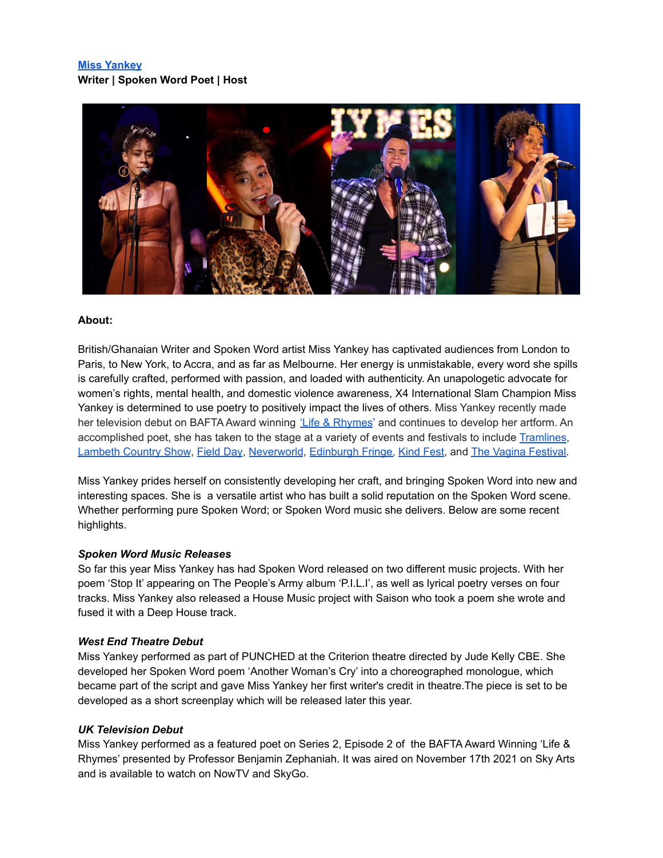# **Miss [Yankey](https://www.instagram.com/missyankey/) Writer | Spoken Word Poet | Host**



## **About:**

British/Ghanaian Writer and Spoken Word artist Miss Yankey has captivated audiences from London to Paris, to New York, to Accra, and as far as Melbourne. Her energy is unmistakable, every word she spills is carefully crafted, performed with passion, and loaded with authenticity. An unapologetic advocate for women's rights, mental health, and domestic violence awareness, X4 International Slam Champion Miss Yankey is determined to use poetry to positively impact the lives of others. Miss Yankey recently made her television debut on BAFTA Award winning 'Life & [Rhymes](https://www.sky.com/watch/title/series/5787670d-0e12-4adf-ba54-26c2a5acac17/life-and-rhymes)' and continues to develop her artform. An accomplished poet, she has taken to the stage at a variety of events and festivals to include [Tramlines](https://tramlines.org.uk/), [Lambeth](https://lambethcountryshow.co.uk/) Country Show, [Field](https://fielddayfestivals.com/) Day, [Neverworld](https://www.neverworld.co.uk/), [Edinburgh](https://www.edfringe.com/) Fringe, [Kind](https://www.teamkind.org.uk/) Fest, and The Vagina [Festival.](https://www.youtube.com/watch?v=TYI9tF9UPtw)

Miss Yankey prides herself on consistently developing her craft, and bringing Spoken Word into new and interesting spaces. She is a versatile artist who has built a solid reputation on the Spoken Word scene. Whether performing pure Spoken Word; or Spoken Word music she delivers. Below are some recent highlights.

### *Spoken Word Music Releases*

So far this year Miss Yankey has had Spoken Word released on two different music projects. With her poem 'Stop It' appearing on The People's Army album 'P.I.L.I', as well as lyrical poetry verses on four tracks. Miss Yankey also released a House Music project with Saison who took a poem she wrote and fused it with a Deep House track.

### *West End Theatre Debut*

Miss Yankey performed as part of PUNCHED at the Criterion theatre directed by Jude Kelly CBE. She developed her Spoken Word poem 'Another Woman's Cry' into a choreographed monologue, which became part of the script and gave Miss Yankey her first writer's credit in theatre.The piece is set to be developed as a short screenplay which will be released later this year.

# *UK Television Debut*

Miss Yankey performed as a featured poet on Series 2, Episode 2 of the BAFTA Award Winning 'Life & Rhymes' presented by Professor Benjamin Zephaniah. It was aired on November 17th 2021 on Sky Arts and is available to watch on NowTV and SkyGo.